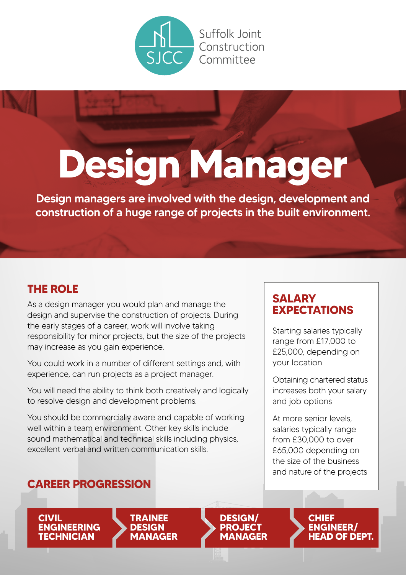

Suffolk loint Construction Committee

# **Design Manager**

Design managers are involved with the design, development and construction of a huge range of projects in the built environment.

### **THE ROLE**

As a design manager you would plan and manage the design and supervise the construction of projects. During the early stages of a career, work will involve taking responsibility for minor projects, but the size of the projects may increase as you gain experience.

You could work in a number of different settings and, with experience, can run projects as a project manager.

You will need the ability to think both creatively and logically to resolve design and development problems.

You should be commercially aware and capable of working well within a team environment. Other key skills include sound mathematical and technical skills including physics, excellent verbal and written communication skills.

### **SALARY EXPECTATIONS**

Starting salaries typically range from £17,000 to £25,000, depending on your location

Obtaining chartered status increases both your salary and job options

At more senior levels, salaries typically range from £30,000 to over £65,000 depending on the size of the business and nature of the projects

### **CAREER PROGRESSION**

**CIVIL ENGINEERING TECHNICIAN**





**CHIEF ENGINEER/ HEAD OF DEPT.**